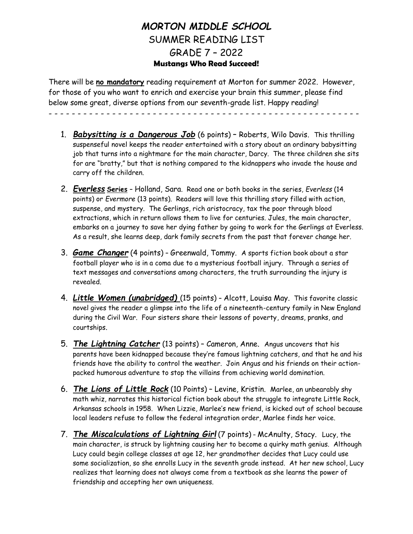## *MORTON MIDDLE SCHOOL* SUMMER READING LIST GRADE 7 – 2022 **Mustangs Who Read Succeed!**

There will be **no mandatory** reading requirement at Morton for summer 2022. However, for those of you who want to enrich and exercise your brain this summer, please find below some great, diverse options from our seventh-grade list. Happy reading!

- - - - - - - - - - - - - - - - - - - - - - - - - - - -
	- 1. *Babysitting is a Dangerous Job* (6 points) Roberts, Wilo Davis. This thrilling suspenseful novel keeps the reader entertained with a story about an ordinary babysitting job that turns into a nightmare for the main character, Darcy. The three children she sits for are "bratty," but that is nothing compared to the kidnappers who invade the house and carry off the children.
	- 2. *Everless* **Series** Holland, Sara. Read one or both books in the series, *Everless* (14 points) or *Evermore* (13 points). Readers will love this thrilling story filled with action, suspense, and mystery. The Gerlings, rich aristocracy, tax the poor through blood extractions, which in return allows them to live for centuries. Jules, the main character, embarks on a journey to save her dying father by going to work for the Gerlings at Everless. As a result, she learns deep, dark family secrets from the past that forever change her.
	- 3. *Game Changer* (4 points) Greenwald, Tommy. A sports fiction book about a star football player who is in a coma due to a mysterious football injury. Through a series of text messages and conversations among characters, the truth surrounding the injury is revealed.
	- 4. *Little Women (unabridged)* (15 points) Alcott, Louisa May. This favorite classic novel gives the reader a glimpse into the life of a nineteenth-century family in New England during the Civil War. Four sisters share their lessons of poverty, dreams, pranks, and courtships.
	- 5. *The Lightning Catcher* (13 points) Cameron, Anne. Angus uncovers that his parents have been kidnapped because they're famous lightning catchers, and that he and his friends have the ability to control the weather. Join Angus and his friends on their actionpacked humorous adventure to stop the villains from achieving world domination.
	- 6. *The Lions of Little Rock* (10 Points) Levine, Kristin. Marlee, an unbearably shy math whiz, narrates this historical fiction book about the struggle to integrate Little Rock, Arkansas schools in 1958. When Lizzie, Marlee's new friend, is kicked out of school because local leaders refuse to follow the federal integration order, Marlee finds her voice.
	- 7. *The Miscalculations of Lightning Girl* (7 points) McAnulty, Stacy. Lucy, the main character, is struck by lightning causing her to become a quirky math genius. Although Lucy could begin college classes at age 12, her grandmother decides that Lucy could use some socialization, so she enrolls Lucy in the seventh grade instead. At her new school, Lucy realizes that learning does not always come from a textbook as she learns the power of friendship and accepting her own uniqueness.